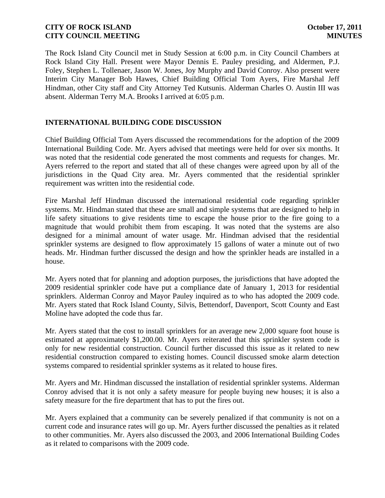The Rock Island City Council met in Study Session at 6:00 p.m. in City Council Chambers at Rock Island City Hall. Present were Mayor Dennis E. Pauley presiding, and Aldermen, P.J. Foley, Stephen L. Tollenaer, Jason W. Jones, Joy Murphy and David Conroy. Also present were Interim City Manager Bob Hawes, Chief Building Official Tom Ayers, Fire Marshal Jeff Hindman, other City staff and City Attorney Ted Kutsunis. Alderman Charles O. Austin III was absent. Alderman Terry M.A. Brooks I arrived at 6:05 p.m.

# **INTERNATIONAL BUILDING CODE DISCUSSION**

Chief Building Official Tom Ayers discussed the recommendations for the adoption of the 2009 International Building Code. Mr. Ayers advised that meetings were held for over six months. It was noted that the residential code generated the most comments and requests for changes. Mr. Ayers referred to the report and stated that all of these changes were agreed upon by all of the jurisdictions in the Quad City area. Mr. Ayers commented that the residential sprinkler requirement was written into the residential code.

Fire Marshal Jeff Hindman discussed the international residential code regarding sprinkler systems. Mr. Hindman stated that these are small and simple systems that are designed to help in life safety situations to give residents time to escape the house prior to the fire going to a magnitude that would prohibit them from escaping. It was noted that the systems are also designed for a minimal amount of water usage. Mr. Hindman advised that the residential sprinkler systems are designed to flow approximately 15 gallons of water a minute out of two heads. Mr. Hindman further discussed the design and how the sprinkler heads are installed in a house.

Mr. Ayers noted that for planning and adoption purposes, the jurisdictions that have adopted the 2009 residential sprinkler code have put a compliance date of January 1, 2013 for residential sprinklers. Alderman Conroy and Mayor Pauley inquired as to who has adopted the 2009 code. Mr. Ayers stated that Rock Island County, Silvis, Bettendorf, Davenport, Scott County and East Moline have adopted the code thus far.

Mr. Ayers stated that the cost to install sprinklers for an average new 2,000 square foot house is estimated at approximately \$1,200.00. Mr. Ayers reiterated that this sprinkler system code is only for new residential construction. Council further discussed this issue as it related to new residential construction compared to existing homes. Council discussed smoke alarm detection systems compared to residential sprinkler systems as it related to house fires.

Mr. Ayers and Mr. Hindman discussed the installation of residential sprinkler systems. Alderman Conroy advised that it is not only a safety measure for people buying new houses; it is also a safety measure for the fire department that has to put the fires out.

Mr. Ayers explained that a community can be severely penalized if that community is not on a current code and insurance rates will go up. Mr. Ayers further discussed the penalties as it related to other communities. Mr. Ayers also discussed the 2003, and 2006 International Building Codes as it related to comparisons with the 2009 code.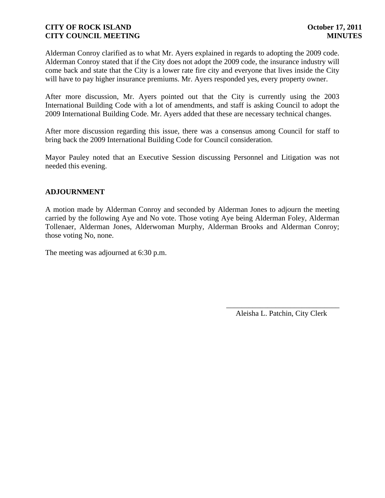Alderman Conroy clarified as to what Mr. Ayers explained in regards to adopting the 2009 code. Alderman Conroy stated that if the City does not adopt the 2009 code, the insurance industry will come back and state that the City is a lower rate fire city and everyone that lives inside the City will have to pay higher insurance premiums. Mr. Ayers responded yes, every property owner.

After more discussion, Mr. Ayers pointed out that the City is currently using the 2003 International Building Code with a lot of amendments, and staff is asking Council to adopt the 2009 International Building Code. Mr. Ayers added that these are necessary technical changes.

After more discussion regarding this issue, there was a consensus among Council for staff to bring back the 2009 International Building Code for Council consideration.

Mayor Pauley noted that an Executive Session discussing Personnel and Litigation was not needed this evening.

### **ADJOURNMENT**

A motion made by Alderman Conroy and seconded by Alderman Jones to adjourn the meeting carried by the following Aye and No vote. Those voting Aye being Alderman Foley, Alderman Tollenaer, Alderman Jones, Alderwoman Murphy, Alderman Brooks and Alderman Conroy; those voting No, none.

The meeting was adjourned at 6:30 p.m.

\_\_\_\_\_\_\_\_\_\_\_\_\_\_\_\_\_\_\_\_\_\_\_\_\_\_\_\_\_\_ Aleisha L. Patchin, City Clerk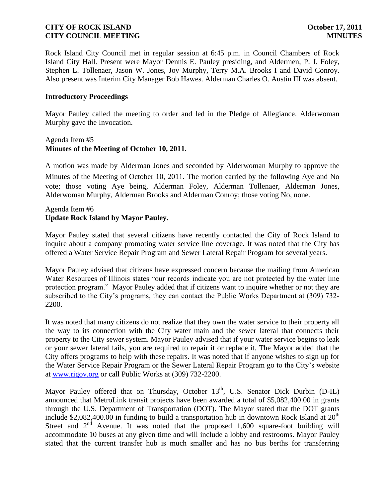Rock Island City Council met in regular session at 6:45 p.m. in Council Chambers of Rock Island City Hall. Present were Mayor Dennis E. Pauley presiding, and Aldermen, P. J. Foley, Stephen L. Tollenaer, Jason W. Jones, Joy Murphy, Terry M.A. Brooks I and David Conroy. Also present was Interim City Manager Bob Hawes. Alderman Charles O. Austin III was absent.

### **Introductory Proceedings**

Mayor Pauley called the meeting to order and led in the Pledge of Allegiance. Alderwoman Murphy gave the Invocation.

### Agenda Item #5 **Minutes of the Meeting of October 10, 2011.**

A motion was made by Alderman Jones and seconded by Alderwoman Murphy to approve the Minutes of the Meeting of October 10, 2011. The motion carried by the following Aye and No vote; those voting Aye being, Alderman Foley, Alderman Tollenaer, Alderman Jones, Alderwoman Murphy, Alderman Brooks and Alderman Conroy; those voting No, none.

# Agenda Item #6 **Update Rock Island by Mayor Pauley.**

Mayor Pauley stated that several citizens have recently contacted the City of Rock Island to inquire about a company promoting water service line coverage. It was noted that the City has offered a Water Service Repair Program and Sewer Lateral Repair Program for several years.

Mayor Pauley advised that citizens have expressed concern because the mailing from American Water Resources of Illinois states "our records indicate you are not protected by the water line protection program." Mayor Pauley added that if citizens want to inquire whether or not they are subscribed to the City's programs, they can contact the Public Works Department at (309) 732- 2200.

It was noted that many citizens do not realize that they own the water service to their property all the way to its connection with the City water main and the sewer lateral that connects their property to the City sewer system. Mayor Pauley advised that if your water service begins to leak or your sewer lateral fails, you are required to repair it or replace it. The Mayor added that the City offers programs to help with these repairs. It was noted that if anyone wishes to sign up for the Water Service Repair Program or the Sewer Lateral Repair Program go to the City's website at [www.rigov.org](http://www.rigov.org/) or call Public Works at (309) 732-2200.

Mayor Pauley offered that on Thursday, October 13<sup>th</sup>, U.S. Senator Dick Durbin (D-IL) announced that MetroLink transit projects have been awarded a total of \$5,082,400.00 in grants through the U.S. Department of Transportation (DOT). The Mayor stated that the DOT grants include \$2,082,400.00 in funding to build a transportation hub in downtown Rock Island at  $20<sup>th</sup>$ Street and  $2<sup>nd</sup>$  Avenue. It was noted that the proposed 1,600 square-foot building will accommodate 10 buses at any given time and will include a lobby and restrooms. Mayor Pauley stated that the current transfer hub is much smaller and has no bus berths for transferring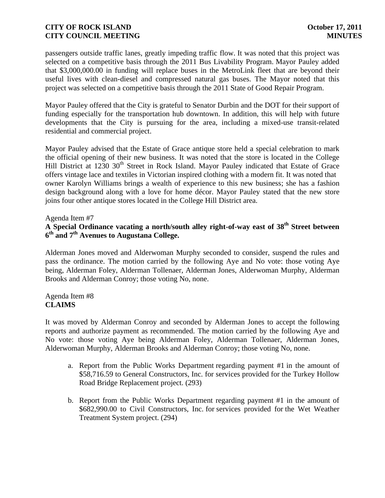passengers outside traffic lanes, greatly impeding traffic flow. It was noted that this project was selected on a competitive basis through the 2011 Bus Livability Program. Mayor Pauley added that \$3,000,000.00 in funding will replace buses in the MetroLink fleet that are beyond their useful lives with clean-diesel and compressed natural gas buses. The Mayor noted that this project was selected on a competitive basis through the 2011 State of Good Repair Program.

Mayor Pauley offered that the City is grateful to Senator Durbin and the DOT for their support of funding especially for the transportation hub downtown. In addition, this will help with future developments that the City is pursuing for the area, including a mixed-use transit-related residential and commercial project.

Mayor Pauley advised that the Estate of Grace antique store held a special celebration to mark the official opening of their new business. It was noted that the store is located in the College Hill District at 1230 30<sup>th</sup> Street in Rock Island. Mayor Pauley indicated that Estate of Grace offers vintage lace and textiles in Victorian inspired clothing with a modern fit. It was noted that owner Karolyn Williams brings a wealth of experience to this new business; she has a fashion design background along with a love for home décor. Mayor Pauley stated that the new store joins four other antique stores located in the College Hill District area.

Agenda Item #7

# **A Special Ordinance vacating a north/south alley right-of-way east of 38th Street between 6 th and 7th Avenues to Augustana College.**

Alderman Jones moved and Alderwoman Murphy seconded to consider, suspend the rules and pass the ordinance. The motion carried by the following Aye and No vote: those voting Aye being, Alderman Foley, Alderman Tollenaer, Alderman Jones, Alderwoman Murphy, Alderman Brooks and Alderman Conroy; those voting No, none.

### Agenda Item #8 **CLAIMS**

It was moved by Alderman Conroy and seconded by Alderman Jones to accept the following reports and authorize payment as recommended. The motion carried by the following Aye and No vote: those voting Aye being Alderman Foley, Alderman Tollenaer, Alderman Jones, Alderwoman Murphy, Alderman Brooks and Alderman Conroy; those voting No, none.

- a. Report from the Public Works Department regarding payment #1 in the amount of \$58,716.59 to General Constructors, Inc. for services provided for the Turkey Hollow Road Bridge Replacement project. (293)
- b. Report from the Public Works Department regarding payment #1 in the amount of \$682,990.00 to Civil Constructors, Inc. for services provided for the Wet Weather Treatment System project. (294)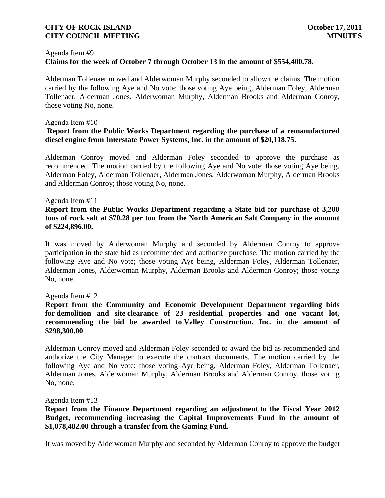#### Agenda Item #9

# **Claims for the week of October 7 through October 13 in the amount of \$554,400.78.**

Alderman Tollenaer moved and Alderwoman Murphy seconded to allow the claims. The motion carried by the following Aye and No vote: those voting Aye being, Alderman Foley, Alderman Tollenaer, Alderman Jones, Alderwoman Murphy, Alderman Brooks and Alderman Conroy, those voting No, none.

#### Agenda Item #10

### **Report from the Public Works Department regarding the purchase of a remanufactured diesel engine from Interstate Power Systems, Inc. in the amount of \$20,118.75.**

Alderman Conroy moved and Alderman Foley seconded to approve the purchase as recommended. The motion carried by the following Aye and No vote: those voting Aye being, Alderman Foley, Alderman Tollenaer, Alderman Jones, Alderwoman Murphy, Alderman Brooks and Alderman Conroy; those voting No, none.

#### Agenda Item #11

# **Report from the Public Works Department regarding a State bid for purchase of 3,200 tons of rock salt at \$70.28 per ton from the North American Salt Company in the amount of \$224,896.00.**

It was moved by Alderwoman Murphy and seconded by Alderman Conroy to approve participation in the state bid as recommended and authorize purchase. The motion carried by the following Aye and No vote; those voting Aye being, Alderman Foley, Alderman Tollenaer, Alderman Jones, Alderwoman Murphy, Alderman Brooks and Alderman Conroy; those voting No, none.

#### Agenda Item #12

### **Report from the Community and Economic Development Department regarding bids for demolition and site clearance of 23 residential properties and one vacant lot, recommending the bid be awarded to Valley Construction, Inc. in the amount of \$298,300.00**.

Alderman Conroy moved and Alderman Foley seconded to award the bid as recommended and authorize the City Manager to execute the contract documents. The motion carried by the following Aye and No vote: those voting Aye being, Alderman Foley, Alderman Tollenaer, Alderman Jones, Alderwoman Murphy, Alderman Brooks and Alderman Conroy, those voting No, none.

#### Agenda Item #13

# **Report from the Finance Department regarding an adjustment to the Fiscal Year 2012 Budget, recommending increasing the Capital Improvements Fund in the amount of \$1,078,482.00 through a transfer from the Gaming Fund.**

It was moved by Alderwoman Murphy and seconded by Alderman Conroy to approve the budget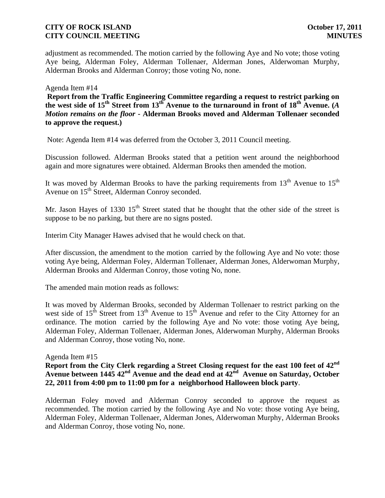adjustment as recommended. The motion carried by the following Aye and No vote; those voting Aye being, Alderman Foley, Alderman Tollenaer, Alderman Jones, Alderwoman Murphy, Alderman Brooks and Alderman Conroy; those voting No, none.

Agenda Item #14

**Report from the Traffic Engineering Committee regarding a request to restrict parking on the west side of 15th Street from 13th Avenue to the turnaround in front of 18th Avenue. (***A Motion remains on the floor* **- Alderman Brooks moved and Alderman Tollenaer seconded to approve the request.)**

Note: Agenda Item #14 was deferred from the October 3, 2011 Council meeting.

Discussion followed. Alderman Brooks stated that a petition went around the neighborhood again and more signatures were obtained. Alderman Brooks then amended the motion.

It was moved by Alderman Brooks to have the parking requirements from  $13<sup>th</sup>$  Avenue to  $15<sup>th</sup>$ Avenue on 15<sup>th</sup> Street, Alderman Conroy seconded.

Mr. Jason Hayes of 1330  $15<sup>th</sup>$  Street stated that he thought that the other side of the street is suppose to be no parking, but there are no signs posted.

Interim City Manager Hawes advised that he would check on that.

After discussion, the amendment to the motion carried by the following Aye and No vote: those voting Aye being, Alderman Foley, Alderman Tollenaer, Alderman Jones, Alderwoman Murphy, Alderman Brooks and Alderman Conroy, those voting No, none.

The amended main motion reads as follows:

It was moved by Alderman Brooks, seconded by Alderman Tollenaer to restrict parking on the west side of  $15<sup>th</sup>$  Street from  $13<sup>th</sup>$  Avenue to  $15<sup>th</sup>$  Avenue and refer to the City Attorney for an ordinance. The motion carried by the following Aye and No vote: those voting Aye being, Alderman Foley, Alderman Tollenaer, Alderman Jones, Alderwoman Murphy, Alderman Brooks and Alderman Conroy, those voting No, none.

Agenda Item #15

**Report from the City Clerk regarding a Street Closing request for the east 100 feet of 42nd Avenue between 1445 42nd Avenue and the dead end at 42nd Avenue on Saturday, October 22, 2011 from 4:00 pm to 11:00 pm for a neighborhood Halloween block party**.

Alderman Foley moved and Alderman Conroy seconded to approve the request as recommended. The motion carried by the following Aye and No vote: those voting Aye being, Alderman Foley, Alderman Tollenaer, Alderman Jones, Alderwoman Murphy, Alderman Brooks and Alderman Conroy, those voting No, none.